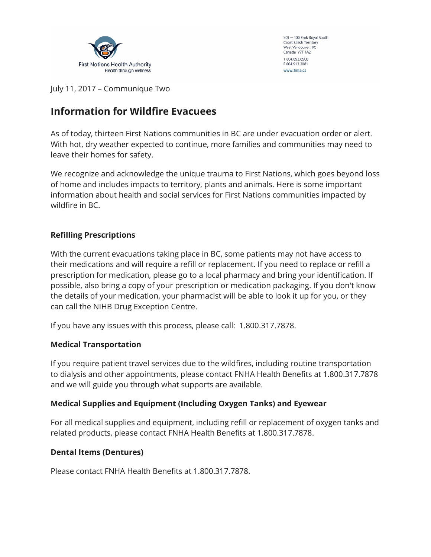

501 - 100 Park Royal South Coast Salish Territory West Vancouver, BC Canada V7T 1A2 T 604.693.6500 F 604.913.2081 www.fnha.ca

July 11, 2017 – Communique Two

# **Information for Wildfire Evacuees**

As of today, thirteen First Nations communities in BC are under evacuation order or alert. With hot, dry weather expected to continue, more families and communities may need to leave their homes for safety.

We recognize and acknowledge the unique trauma to First Nations, which goes beyond loss of home and includes impacts to territory, plants and animals. Here is some important information about health and social services for First Nations communities impacted by wildfire in BC.

## **Refilling Prescriptions**

With the current evacuations taking place in BC, some patients may not have access to their medications and will require a refill or replacement. If you need to replace or refill a prescription for medication, please go to a local pharmacy and bring your identification. If possible, also bring a copy of your prescription or medication packaging. If you don't know the details of your medication, your pharmacist will be able to look it up for you, or they can call the NIHB Drug Exception Centre.

If you have any issues with this process, please call: 1.800.317.7878.

## **Medical Transportation**

If you require patient travel services due to the wildfires, including routine transportation to dialysis and other appointments, please contact FNHA Health Benefits at 1.800.317.7878 and we will guide you through what supports are available.

## **Medical Supplies and Equipment (Including Oxygen Tanks) and Eyewear**

For all medical supplies and equipment, including refill or replacement of oxygen tanks and related products, please contact FNHA Health Benefits at 1.800.317.7878.

#### **Dental Items (Dentures)**

Please contact FNHA Health Benefits at 1.800.317.7878.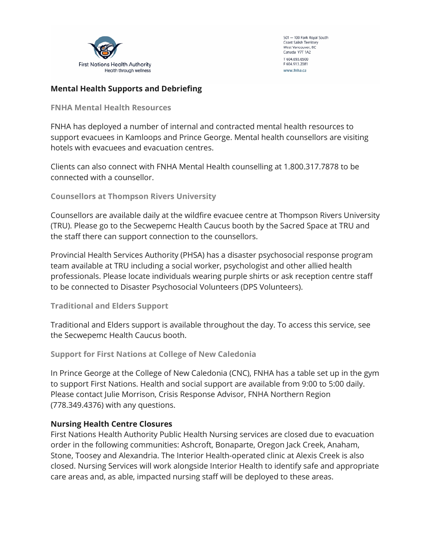

501 - 100 Park Royal South Coast Salish Territory West Vancouver, BC Canada V7T 1A2 T 604.693.6500 F 604.913.2081 www.fnha.ca

#### **Mental Health Supports and Debriefing**

**FNHA Mental Health Resources** 

FNHA has deployed a number of internal and contracted mental health resources to support evacuees in Kamloops and Prince George. Mental health counsellors are visiting hotels with evacuees and evacuation centres.

Clients can also connect with FNHA Mental Health counselling at 1.800.317.7878 to be connected with a counsellor.

**Counsellors at Thompson Rivers University**

Counsellors are available daily at the wildfire evacuee centre at Thompson Rivers University (TRU). Please go to the Secwepemc Health Caucus booth by the Sacred Space at TRU and the staff there can support connection to the counsellors.

Provincial Health Services Authority (PHSA) has a disaster psychosocial response program team available at TRU including a social worker, psychologist and other allied health professionals. Please locate individuals wearing purple shirts or ask reception centre staff to be connected to Disaster Psychosocial Volunteers (DPS Volunteers).

**Traditional and Elders Support**

Traditional and Elders support is available throughout the day. To access this service, see the Secwepemc Health Caucus booth.

**Support for First Nations at College of New Caledonia**

In Prince George at the College of New Caledonia (CNC), FNHA has a table set up in the gym to support First Nations. Health and social support are available from 9:00 to 5:00 daily. Please contact Julie Morrison, Crisis Response Advisor, FNHA Northern Region (778.349.4376) with any questions.

#### **Nursing Health Centre Closures**

First Nations Health Authority Public Health Nursing services are closed due to evacuation order in the following communities: Ashcroft, Bonaparte, Oregon Jack Creek, Anaham, Stone, Toosey and Alexandria. The Interior Health-operated clinic at Alexis Creek is also closed. Nursing Services will work alongside Interior Health to identify safe and appropriate care areas and, as able, impacted nursing staff will be deployed to these areas.